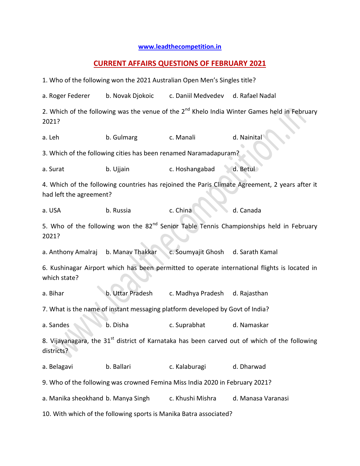## **[www.leadthecompetition.in](http://www.leadthecompetition.in/)**

## **CURRENT AFFAIRS QUESTIONS OF FEBRUARY 2021**

1. Who of the following won the 2021 Australian Open Men's Singles title? a. Roger Federer b. Novak Djokoic c. Daniil Medvedev d. Rafael Nadal 2. Which of the following was the venue of the  $2^{nd}$  Khelo India Winter Games held in February 2021? a. Leh b. Gulmarg c. Manali d. Nainital 3. Which of the following cities has been renamed Naramadapuram? a. Surat b. Ujjain c. Hoshangabad d. Betul 4. Which of the following countries has rejoined the Paris Climate Agreement, 2 years after it had left the agreement? a. USA b. Russia c. China d. Canada 5. Who of the following won the  $82<sup>nd</sup>$  Senior Table Tennis Championships held in February 2021? a. Anthony Amalraj b. Manav Thakkar c. Soumyajit Ghosh d. Sarath Kamal 6. Kushinagar Airport which has been permitted to operate international flights is located in which state? a. Bihar b. Uttar Pradesh c. Madhya Pradesh d. Rajasthan 7. What is the name of instant messaging platform developed by Govt of India? a. Sandes b. Disha c. Suprabhat d. Namaskar 8. Vijayanagara, the 31 $^{\rm st}$  district of Karnataka has been carved out of which of the following districts? a. Belagavi b. Ballari c. Kalaburagi d. Dharwad 9. Who of the following was crowned Femina Miss India 2020 in February 2021? a. Manika sheokhand b. Manya Singh c. Khushi Mishra d. Manasa Varanasi 10. With which of the following sports is Manika Batra associated?